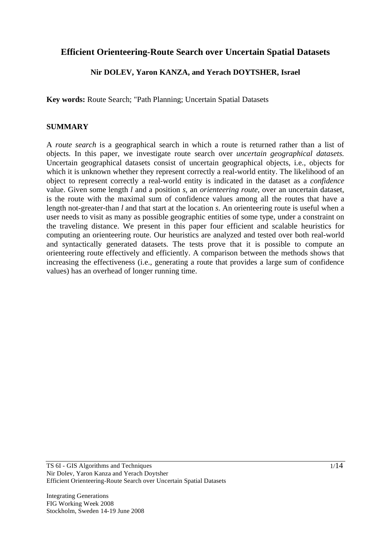# **Efficient Orienteering-Route Search over Uncertain Spatial Datasets**

## **Nir DOLEV, Yaron KANZA, and Yerach DOYTSHER, Israel**

**Key words:** Route Search; "Path Planning; Uncertain Spatial Datasets

#### **SUMMARY**

A *route search* is a geographical search in which a route is returned rather than a list of objects. In this paper, we investigate route search over *uncertain geographical datasets*. Uncertain geographical datasets consist of uncertain geographical objects, i.e., objects for which it is unknown whether they represent correctly a real-world entity. The likelihood of an object to represent correctly a real-world entity is indicated in the dataset as a *confidence* value. Given some length *l* and a position *s,* an *orienteering route*, over an uncertain dataset, is the route with the maximal sum of confidence values among all the routes that have a length not-greater-than *l* and that start at the location *s*. An orienteering route is useful when a user needs to visit as many as possible geographic entities of some type, under a constraint on the traveling distance. We present in this paper four efficient and scalable heuristics for computing an orienteering route. Our heuristics are analyzed and tested over both real-world and syntactically generated datasets. The tests prove that it is possible to compute an orienteering route effectively and efficiently. A comparison between the methods shows that increasing the effectiveness (i.e., generating a route that provides a large sum of confidence values) has an overhead of longer running time.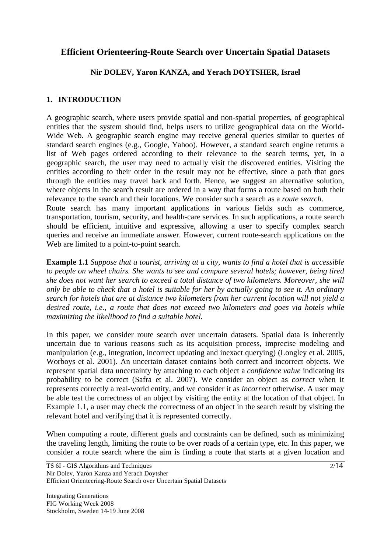# **Efficient Orienteering-Route Search over Uncertain Spatial Datasets**

## **Nir DOLEV, Yaron KANZA, and Yerach DOYTSHER, Israel**

## **1. INTRODUCTION**

A geographic search, where users provide spatial and non-spatial properties, of geographical entities that the system should find, helps users to utilize geographical data on the World-Wide Web. A geographic search engine may receive general queries similar to queries of standard search engines (e.g., Google, Yahoo). However, a standard search engine returns a list of Web pages ordered according to their relevance to the search terms, yet, in a geographic search, the user may need to actually visit the discovered entities. Visiting the entities according to their order in the result may not be effective, since a path that goes through the entities may travel back and forth. Hence, we suggest an alternative solution, where objects in the search result are ordered in a way that forms a route based on both their relevance to the search and their locations. We consider such a search as a *route search*. Route search has many important applications in various fields such as commerce, transportation, tourism, security, and health-care services. In such applications, a route search

should be efficient, intuitive and expressive, allowing a user to specify complex search queries and receive an immediate answer. However, current route-search applications on the Web are limited to a point-to-point search.

**Example 1.1** *Suppose that a tourist, arriving at a city, wants to find a hotel that is accessible to people on wheel chairs. She wants to see and compare several hotels; however, being tired she does not want her search to exceed a total distance of two kilometers. Moreover, she will only be able to check that a hotel is suitable for her by actually going to see it. An ordinary search for hotels that are at distance two kilometers from her current location will not yield a desired route, i.e., a route that does not exceed two kilometers and goes via hotels while maximizing the likelihood to find a suitable hotel.* 

In this paper, we consider route search over uncertain datasets. Spatial data is inherently uncertain due to various reasons such as its acquisition process, imprecise modeling and manipulation (e.g., integration, incorrect updating and inexact querying) (Longley et al. 2005, Worboys et al. 2001). An uncertain dataset contains both correct and incorrect objects. We represent spatial data uncertainty by attaching to each object a *confidence value* indicating its probability to be correct (Safra et al. 2007). We consider an object as *correct* when it represents correctly a real-world entity, and we consider it as *incorrect* otherwise. A user may be able test the correctness of an object by visiting the entity at the location of that object. In Example 1.1, a user may check the correctness of an object in the search result by visiting the relevant hotel and verifying that it is represented correctly.

When computing a route, different goals and constraints can be defined, such as minimizing the traveling length, limiting the route to be over roads of a certain type, etc. In this paper, we consider a route search where the aim is finding a route that starts at a given location and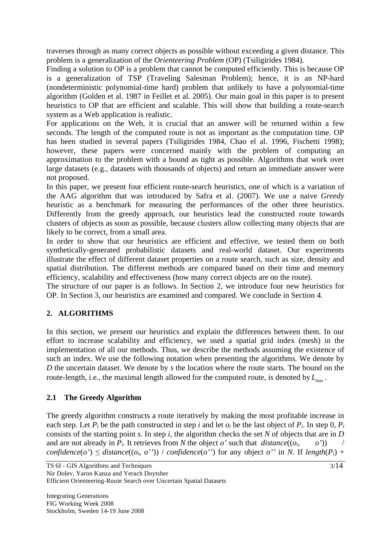traverses through as many correct objects as possible without exceeding a given distance. This problem is a generalization of the *Orienteering Problem* (OP) (Tsiligirides 1984).

Finding a solution to OP is a problem that cannot be computed efficiently. This is because OP is a generalization of TSP (Traveling Salesman Problem); hence, it is an NP-hard (nondeterministic polynomial-time hard) problem that unlikely to have a polynomial-time algorithm (Golden et al. 1987 in Feillet et al. 2005). Our main goal in this paper is to present heuristics to OP that are efficient and scalable. This will show that building a route-search system as a Web application is realistic.

For applications on the Web, it is crucial that an answer will be returned within a few seconds. The length of the computed route is not as important as the computation time. OP has been studied in several papers (Tsiligirides 1984, Chao el al. 1996, Fischetti 1998); however, these papers were concerned mainly with the problem of computing an approximation to the problem with a bound as tight as possible. Algorithms that work over large datasets (e.g., datasets with thousands of objects) and return an immediate answer were not proposed.

In this paper, we present four efficient route-search heuristics, one of which is a variation of the AAG algorithm that was introduced by Safra et al. (2007). We use a naive *Greedy* heuristic as a benchmark for measuring the performances of the other three heuristics. Differently from the greedy approach, our heuristics lead the constructed route towards clusters of objects as soon as possible, because clusters allow collecting many objects that are likely to be correct, from a small area.

In order to show that our heuristics are efficient and effective, we tested them on both synthetically-generated probabilistic datasets and real-world dataset. Our experiments illustrate the effect of different dataset properties on a route search, such as size, density and spatial distribution. The different methods are compared based on their time and memory efficiency, scalability and effectiveness (how many correct objects are on the route).

The structure of our paper is as follows. In Section 2, we introduce four new heuristics for OP. In Section 3, our heuristics are examined and compared. We conclude in Section 4.

# **2. ALGORITHMS**

In this section, we present our heuristics and explain the differences between them. In our effort to increase scalability and efficiency, we used a spatial grid index (mesh) in the implementation of all our methods. Thus, we describe the methods assuming the existence of such an index. We use the following notation when presenting the algorithms. We denote by *D* the uncertain dataset. We denote by *s* the location where the route starts. The bound on the route-length, i.e., the maximal length allowed for the computed route, is denoted by  $L_{\text{max}}$ .

# **2.1 The Greedy Algorithm**

The greedy algorithm constructs a route iteratively by making the most profitable increase in each step. Let  $P_i$  be the path constructed in step *i* and let  $o_i$  be the last object of  $P_i$ . In step 0,  $P_i$ consists of the starting point *s*. In step *i*, the algorithm checks the set *N* of objects that are in *D* and are not already in  $P_i$ . It retrieves from *N* the object *o*' such that *distance*( $(o_i, o'_i)$ ) *confidence*(*o'*)  $\leq$  *distance*((*o<sub>i</sub>*, *o''*)) / *confidence*(*o''*) for any object *o''* in *N*. If *length*(*P<sub>i</sub>*) +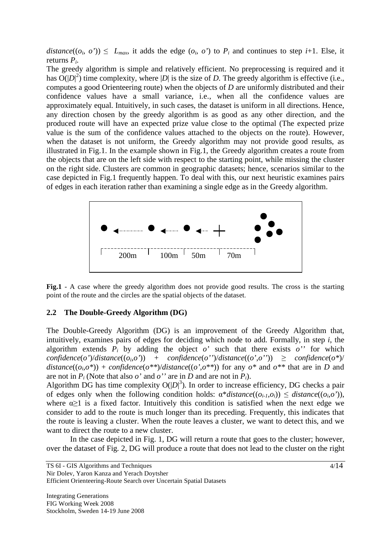*distance*( $(o_i, o')$ )  $\leq L_{max}$ , it adds the edge  $(o_i, o')$  to  $P_i$  and continues to step *i*+1. Else, it returns *Pi*.

The greedy algorithm is simple and relatively efficient. No preprocessing is required and it has  $O(|D|^2)$  time complexity, where |*D*| is the size of *D*. The greedy algorithm is effective (i.e., computes a good Orienteering route) when the objects of *D* are uniformly distributed and their confidence values have a small variance, i.e., when all the confidence values are approximately equal. Intuitively, in such cases, the dataset is uniform in all directions. Hence, any direction chosen by the greedy algorithm is as good as any other direction, and the produced route will have an expected prize value close to the optimal (The expected prize value is the sum of the confidence values attached to the objects on the route). However, when the dataset is not uniform, the Greedy algorithm may not provide good results, as illustrated in Fig.1. In the example shown in Fig.1, the Greedy algorithm creates a route from the objects that are on the left side with respect to the starting point, while missing the cluster on the right side. Clusters are common in geographic datasets; hence, scenarios similar to the case depicted in Fig.1 frequently happen. To deal with this, our next heuristic examines pairs of edges in each iteration rather than examining a single edge as in the Greedy algorithm.



Fig.1 - A case where the greedy algorithm does not provide good results. The cross is the starting point of the route and the circles are the spatial objects of the dataset.

#### **2.2 The Double-Greedy Algorithm (DG)**

The Double-Greedy Algorithm (DG) is an improvement of the Greedy Algorithm that, intuitively, examines pairs of edges for deciding which node to add. Formally, in step *i*, the algorithm extends  $P_i$  by adding the object  $o'$  such that there exists  $o''$  for which  $confidence(o')/distance((o_i,o'))$  +  $confidence(o'')/distance((o',o''))$   $\geq confidence(o^*)/$ *distance*( $(o_i, o^*)$ ) + *confidence*( $o^{**}$ )/*distance*( $(o', o^{**})$ ) for any  $o^*$  and  $o^{**}$  that are in *D* and are not in  $P_i$  (Note that also  $o'$  and  $o''$  are in *D* and are not in  $P_i$ ).

Algorithm DG has time complexity  $O(|D|^3)$ . In order to increase efficiency, DG checks a pair of edges only when the following condition holds:  $\alpha^*distance((o_{i-1},o_i)) \leq distance((o_i,o'))$ , where  $\alpha \geq 1$  is a fixed factor. Intuitively this condition is satisfied when the next edge we consider to add to the route is much longer than its preceding. Frequently, this indicates that the route is leaving a cluster. When the route leaves a cluster, we want to detect this, and we want to direct the route to a new cluster.

 In the case depicted in Fig. 1, DG will return a route that goes to the cluster; however, over the dataset of Fig. 2, DG will produce a route that does not lead to the cluster on the right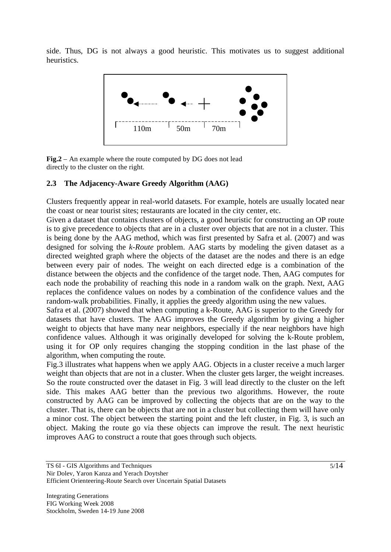side. Thus, DG is not always a good heuristic. This motivates us to suggest additional heuristics.



**Fig.2** – An example where the route computed by DG does not lead directly to the cluster on the right.

### **2.3 The Adjacency-Aware Greedy Algorithm (AAG)**

Clusters frequently appear in real-world datasets. For example, hotels are usually located near the coast or near tourist sites; restaurants are located in the city center, etc.

Given a dataset that contains clusters of objects, a good heuristic for constructing an OP route is to give precedence to objects that are in a cluster over objects that are not in a cluster. This is being done by the AAG method, which was first presented by Safra et al. (2007) and was designed for solving the *k-Route* problem. AAG starts by modeling the given dataset as a directed weighted graph where the objects of the dataset are the nodes and there is an edge between every pair of nodes. The weight on each directed edge is a combination of the distance between the objects and the confidence of the target node. Then, AAG computes for each node the probability of reaching this node in a random walk on the graph. Next, AAG replaces the confidence values on nodes by a combination of the confidence values and the random-walk probabilities. Finally, it applies the greedy algorithm using the new values.

Safra et al. (2007) showed that when computing a k-Route, AAG is superior to the Greedy for datasets that have clusters. The AAG improves the Greedy algorithm by giving a higher weight to objects that have many near neighbors, especially if the near neighbors have high confidence values. Although it was originally developed for solving the k-Route problem, using it for OP only requires changing the stopping condition in the last phase of the algorithm, when computing the route.

Fig.3 illustrates what happens when we apply AAG. Objects in a cluster receive a much larger weight than objects that are not in a cluster. When the cluster gets larger, the weight increases. So the route constructed over the dataset in Fig. 3 will lead directly to the cluster on the left side. This makes AAG better than the previous two algorithms. However, the route constructed by AAG can be improved by collecting the objects that are on the way to the cluster. That is, there can be objects that are not in a cluster but collecting them will have only a minor cost. The object between the starting point and the left cluster, in Fig. 3, is such an object. Making the route go via these objects can improve the result. The next heuristic improves AAG to construct a route that goes through such objects.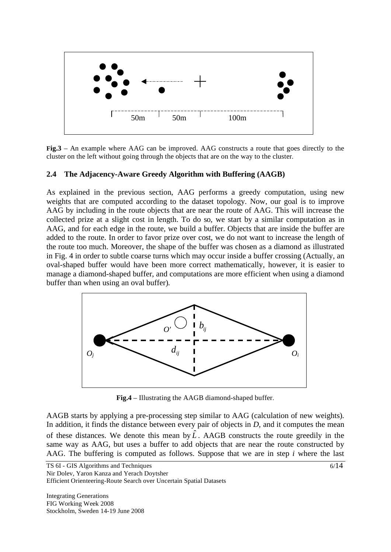

**Fig.3** – An example where AAG can be improved. AAG constructs a route that goes directly to the cluster on the left without going through the objects that are on the way to the cluster.

#### **2.4 The Adjacency-Aware Greedy Algorithm with Buffering (AAGB)**

As explained in the previous section, AAG performs a greedy computation, using new weights that are computed according to the dataset topology. Now, our goal is to improve AAG by including in the route objects that are near the route of AAG. This will increase the collected prize at a slight cost in length. To do so, we start by a similar computation as in AAG, and for each edge in the route, we build a buffer. Objects that are inside the buffer are added to the route. In order to favor prize over cost, we do not want to increase the length of the route too much. Moreover, the shape of the buffer was chosen as a diamond as illustrated in Fig. 4 in order to subtle coarse turns which may occur inside a buffer crossing (Actually, an oval-shaped buffer would have been more correct mathematically, however, it is easier to manage a diamond-shaped buffer, and computations are more efficient when using a diamond buffer than when using an oval buffer).



**Fig.4** – Illustrating the AAGB diamond-shaped buffer.

AAGB starts by applying a pre-processing step similar to AAG (calculation of new weights). In addition, it finds the distance between every pair of objects in *D*, and it computes the mean of these distances. We denote this mean by  $\hat{L}$ . AAGB constructs the route greedily in the same way as AAG, but uses a buffer to add objects that are near the route constructed by AAG. The buffering is computed as follows. Suppose that we are in step *i* where the last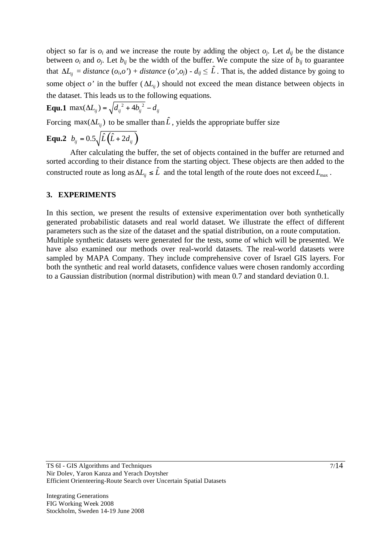object so far is  $o_i$  and we increase the route by adding the object  $o_j$ . Let  $d_{ij}$  be the distance between  $o_i$  and  $o_j$ . Let  $b_{ij}$  be the width of the buffer. We compute the size of  $b_{ij}$  to guarantee that  $\Delta L_{ij} = distance (o_i, o') + distance (o', o_j) - d_{ij} \leq \hat{L}$ . That is, the added distance by going to some object  $o'$  in the buffer  $(\Delta L_i)$  should not exceed the mean distance between objects in the dataset. This leads us to the following equations.

**Equ.1** max(
$$
\Delta L_{ij}
$$
) =  $\sqrt{d_{ij}^2 + 4b_{ij}^2} - d_{ij}$ 

Forcing max( $\Delta L_i$ ) to be smaller than  $\hat{L}$ , yields the appropriate buffer size

**Equ.2**  $b_{ij} = 0.5 \sqrt{\hat{L}(\hat{L} + 2d_{ii})}$ 

 After calculating the buffer, the set of objects contained in the buffer are returned and sorted according to their distance from the starting object. These objects are then added to the constructed route as long as  $\Delta L_{ij} \leq \hat{L}$  and the total length of the route does not exceed  $L_{\text{max}}$ .

#### **3. EXPERIMENTS**

In this section, we present the results of extensive experimentation over both synthetically generated probabilistic datasets and real world dataset. We illustrate the effect of different parameters such as the size of the dataset and the spatial distribution, on a route computation. Multiple synthetic datasets were generated for the tests, some of which will be presented. We have also examined our methods over real-world datasets. The real-world datasets were sampled by MAPA Company. They include comprehensive cover of Israel GIS layers. For both the synthetic and real world datasets, confidence values were chosen randomly according to a Gaussian distribution (normal distribution) with mean 0.7 and standard deviation 0.1.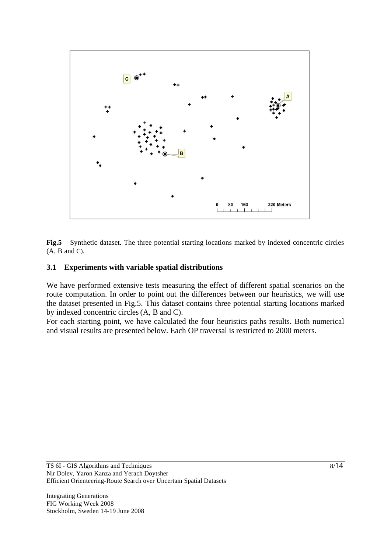

**Fig.5** – Synthetic dataset. The three potential starting locations marked by indexed concentric circles  $(A, B \text{ and } C).$ 

#### **3.1 Experiments with variable spatial distributions**

We have performed extensive tests measuring the effect of different spatial scenarios on the route computation. In order to point out the differences between our heuristics, we will use the dataset presented in Fig.5. This dataset contains three potential starting locations marked by indexed concentric circles(A, B and C).

For each starting point, we have calculated the four heuristics paths results. Both numerical and visual results are presented below. Each OP traversal is restricted to 2000 meters.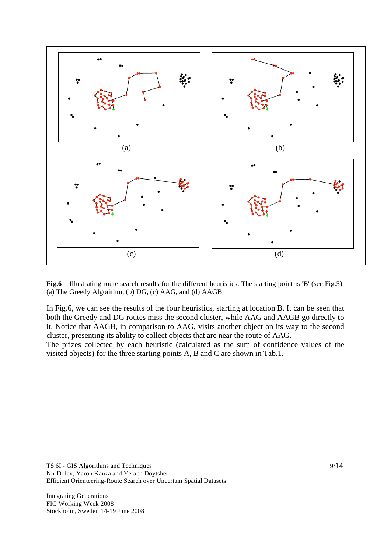

**Fig.6** – Illustrating route search results for the different heuristics. The starting point is 'B' (see Fig.5). (a) The Greedy Algorithm, (b) DG, (c) AAG, and (d) AAGB.

In Fig.6, we can see the results of the four heuristics, starting at location B. It can be seen that both the Greedy and DG routes miss the second cluster, while AAG and AAGB go directly to it. Notice that AAGB, in comparison to AAG, visits another object on its way to the second cluster, presenting its ability to collect objects that are near the route of AAG.

The prizes collected by each heuristic (calculated as the sum of confidence values of the visited objects) for the three starting points A, B and C are shown in Tab.1.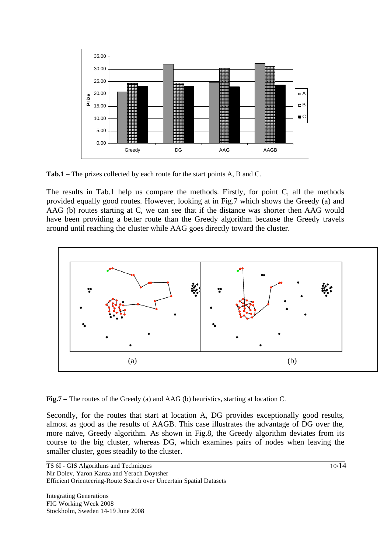

**Tab.1** – The prizes collected by each route for the start points A, B and C.

The results in Tab.1 help us compare the methods. Firstly, for point C, all the methods provided equally good routes. However, looking at in Fig.7 which shows the Greedy (a) and AAG (b) routes starting at C, we can see that if the distance was shorter then AAG would have been providing a better route than the Greedy algorithm because the Greedy travels around until reaching the cluster while AAG goes directly toward the cluster.



**Fig.7** – The routes of the Greedy (a) and AAG (b) heuristics, starting at location C.

Secondly, for the routes that start at location A, DG provides exceptionally good results, almost as good as the results of AAGB. This case illustrates the advantage of DG over the, more naïve, Greedy algorithm. As shown in Fig.8, the Greedy algorithm deviates from its course to the big cluster, whereas DG, which examines pairs of nodes when leaving the smaller cluster, goes steadily to the cluster.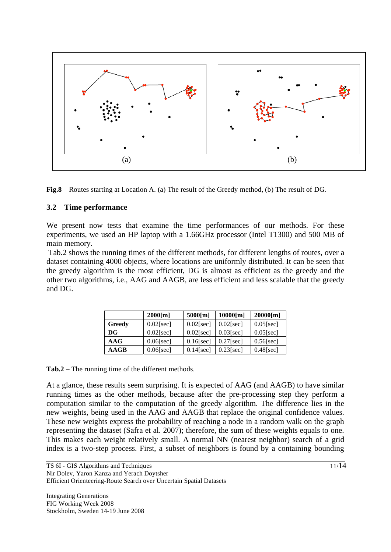

**Fig.8** – Routes starting at Location A. (a) The result of the Greedy method, (b) The result of DG.

#### **3.2 Time performance**

We present now tests that examine the time performances of our methods. For these experiments, we used an HP laptop with a 1.66GHz processor (Intel T1300) and 500 MB of main memory.

 Tab.2 shows the running times of the different methods, for different lengths of routes, over a dataset containing 4000 objects, where locations are uniformly distributed. It can be seen that the greedy algorithm is the most efficient, DG is almost as efficient as the greedy and the other two algorithms, i.e., AAG and AAGB, are less efficient and less scalable that the greedy and DG.

|        | $2000$ [m]   | 5000[m]      | $10000$ [m]  | 20000[m]     |
|--------|--------------|--------------|--------------|--------------|
| Greedy | $0.02$ [sec] | $0.02$ [sec] | $0.02$ [sec] | $0.05$ [sec] |
| DG     | $0.02$ [sec] | $0.02$ [sec] | $0.03$ [sec] | $0.05$ [sec] |
| AAG    | $0.06$ [sec] | $0.16$ [sec] | $0.27$ [sec] | $0.56$ [sec] |
| AAGB   | $0.06$ [sec] | $0.14$ [sec] | $0.23$ [sec] | $0.48$ [sec] |

**Tab.2** – The running time of the different methods.

At a glance, these results seem surprising. It is expected of AAG (and AAGB) to have similar running times as the other methods, because after the pre-processing step they perform a computation similar to the computation of the greedy algorithm. The difference lies in the new weights, being used in the AAG and AAGB that replace the original confidence values. These new weights express the probability of reaching a node in a random walk on the graph representing the dataset (Safra et al. 2007); therefore, the sum of these weights equals to one. This makes each weight relatively small. A normal NN (nearest neighbor) search of a grid index is a two-step process. First, a subset of neighbors is found by a containing bounding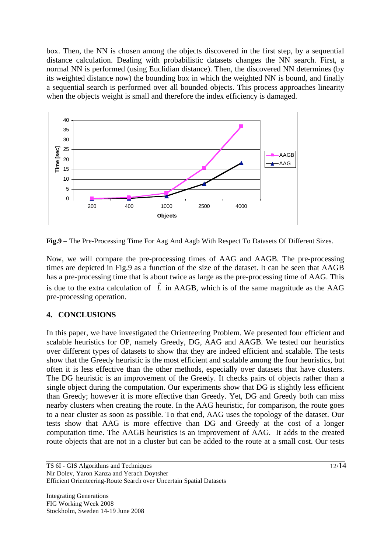box. Then, the NN is chosen among the objects discovered in the first step, by a sequential distance calculation. Dealing with probabilistic datasets changes the NN search. First, a normal NN is performed (using Euclidian distance). Then, the discovered NN determines (by its weighted distance now) the bounding box in which the weighted NN is bound, and finally a sequential search is performed over all bounded objects. This process approaches linearity when the objects weight is small and therefore the index efficiency is damaged.



**Fig.9** – The Pre-Processing Time For Aag And Aagb With Respect To Datasets Of Different Sizes.

Now, we will compare the pre-processing times of AAG and AAGB. The pre-processing times are depicted in Fig.9 as a function of the size of the dataset. It can be seen that AAGB has a pre-processing time that is about twice as large as the pre-processing time of AAG. This is due to the extra calculation of  $\hat{L}$  in AAGB, which is of the same magnitude as the AAG pre-processing operation.

# **4. CONCLUSIONS**

In this paper, we have investigated the Orienteering Problem. We presented four efficient and scalable heuristics for OP, namely Greedy, DG, AAG and AAGB. We tested our heuristics over different types of datasets to show that they are indeed efficient and scalable. The tests show that the Greedy heuristic is the most efficient and scalable among the four heuristics, but often it is less effective than the other methods, especially over datasets that have clusters. The DG heuristic is an improvement of the Greedy. It checks pairs of objects rather than a single object during the computation. Our experiments show that DG is slightly less efficient than Greedy; however it is more effective than Greedy. Yet, DG and Greedy both can miss nearby clusters when creating the route. In the AAG heuristic, for comparison, the route goes to a near cluster as soon as possible. To that end, AAG uses the topology of the dataset. Our tests show that AAG is more effective than DG and Greedy at the cost of a longer computation time. The AAGB heuristics is an improvement of AAG. It adds to the created route objects that are not in a cluster but can be added to the route at a small cost. Our tests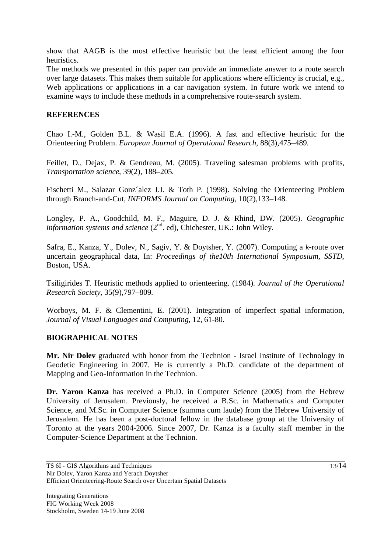show that AAGB is the most effective heuristic but the least efficient among the four heuristics.

The methods we presented in this paper can provide an immediate answer to a route search over large datasets. This makes them suitable for applications where efficiency is crucial, e.g., Web applications or applications in a car navigation system. In future work we intend to examine ways to include these methods in a comprehensive route-search system.

### **REFERENCES**

Chao I.-M., Golden B.L. & Wasil E.A. (1996). A fast and effective heuristic for the Orienteering Problem. *European Journal of Operational Research*, 88(3),475–489.

Feillet, D., Dejax, P. & Gendreau, M. (2005). Traveling salesman problems with profits, *Transportation science*, 39(2), 188–205.

Fischetti M., Salazar Gonz´alez J.J. & Toth P. (1998). Solving the Orienteering Problem through Branch-and-Cut, *INFORMS Journal on Computing*, 10(2),133–148.

Longley, P. A., Goodchild, M. F., Maguire, D. J. & Rhind, DW. (2005). *Geographic information systems and science* (2<sup>nd</sup>. ed), Chichester, UK.: John Wiley.

Safra, E., Kanza, Y., Dolev, N., Sagiv, Y. & Doytsher, Y. (2007). Computing a *k*-route over uncertain geographical data, In: *Proceedings of the10th International Symposium, SSTD*, Boston, USA.

Tsiligirides T. Heuristic methods applied to orienteering. (1984). *Journal of the Operational Research Society*, 35(9),797–809.

Worboys, M. F. & Clementini, E. (2001). Integration of imperfect spatial information, *Journal of Visual Languages and Computing*, 12, 61-80.

### **BIOGRAPHICAL NOTES**

**Mr. Nir Dolev** graduated with honor from the Technion - Israel Institute of Technology in Geodetic Engineering in 2007. He is currently a Ph.D. candidate of the department of Mapping and Geo-Information in the Technion.

**Dr. Yaron Kanza** has received a Ph.D. in Computer Science (2005) from the Hebrew University of Jerusalem. Previously, he received a B.Sc. in Mathematics and Computer Science, and M.Sc. in Computer Science (summa cum laude) from the Hebrew University of Jerusalem. He has been a post-doctoral fellow in the database group at the University of Toronto at the years 2004-2006. Since 2007, Dr. Kanza is a faculty staff member in the Computer-Science Department at the Technion.